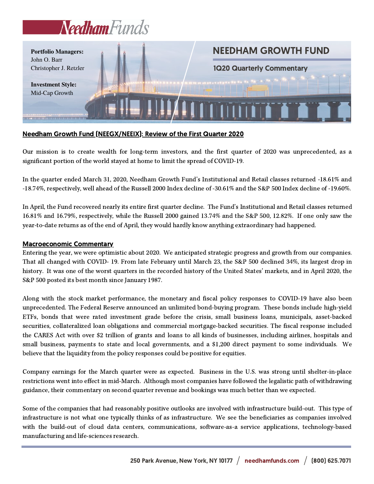# Needham Funds



## Needham Growth Fund (NEEGX/NEEIX): Review of the First Quarter 2020

Our mission is to create wealth for long-term investors, and the first quarter of 2020 was unprecedented, as a significant portion of the world stayed at home to limit the spread of COVID-19.

In the quarter ended March 31, 2020, Needham Growth Fund's Institutional and Retail classes returned -18.61% and -18.74%, respectively, well ahead of the Russell 2000 Index decline of -30.61% and the S&P 500 Index decline of -19.60%.

In April, the Fund recovered nearly its entire first quarter decline. The Fund's Institutional and Retail classes returned 16.81% and 16.79%, respectively, while the Russell 2000 gained 13.74% and the S&P 500, 12.82%. If one only saw the year-to-date returns as of the end of April, they would hardly know anything extraordinary had happened.

### Macroeconomic Commentary

Entering the year, we were optimistic about 2020. We anticipated strategic progress and growth from our companies. That all changed with COVID- 19. From late February until March 23, the S&P 500 declined 34%, its largest drop in history. It was one of the worst quarters in the recorded history of the United States' markets, and in April 2020, the S&P 500 posted its best month since January 1987.

Along with the stock market performance, the monetary and fiscal policy responses to COVID-19 have also been unprecedented. The Federal Reserve announced an unlimited bond-buying program. These bonds include high-yield ETFs, bonds that were rated investment grade before the crisis, small business loans, municipals, asset-backed securities, collateralized loan obligations and commercial mortgage-backed securities. The fiscal response included the CARES Act with over \$2 trillion of grants and loans to all kinds of businesses, including airlines, hospitals and small business, payments to state and local governments, and a \$1,200 direct payment to some individuals. We believe that the liquidity from the policy responses could be positive for equities.

Company earnings for the March quarter were as expected. Business in the U.S. was strong until shelter-in-place restrictions went into effect in mid-March. Although most companies have followed the legalistic path of withdrawing guidance, their commentary on second quarter revenue and bookings was much better than we expected.

Some of the companies that had reasonably positive outlooks are involved with infrastructure build-out. This type of infrastructure is not what one typically thinks of as infrastructure. We see the beneficiaries as companies involved with the build-out of cloud data centers, communications, software-as-a service applications, technology-based manufacturing and life-sciences research.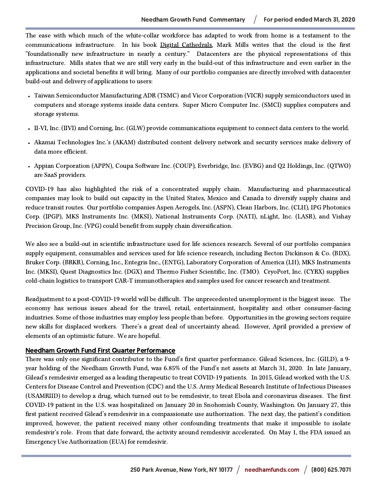The ease with which much of the white-collar workforce has adapted to work from home is a testament to the communications infrastructure. In his book Digital Cathedrals, Mark Mills writes that the cloud is the first "foundationally new infrastructure in nearly a century." Datacenters are the physical representations of this infrastructure. Mills states that we are still very early in the build-out of this infrastructure and even earlier in the applications and societal benefits it will bring. Many of our portfolio companies are directly involved with datacenter build-out and delivery of applications to users:

- Taiwan Semiconductor Manufacturing ADR (TSMC) and Vicor Corporation (VICR) supply semiconductors used in computers and storage systems inside data centers. Super Micro Computer Inc. (SMCI) supplies computers and storage systems.
- II-VI, Inc. (IIVI) and Corning, Inc. (GLW) provide communications equipment to connect data centers to the world.
- Akamai Technologies Inc.'s (AKAM) distributed content delivery network and security services make delivery of data more efficient.
- Appian Corporation (APPN), Coupa Software Inc. (COUP), Everbridge, Inc. (EVBG) and Q2 Holdings, Inc. (QTWO) are SaaS providers.

COVID-19 has also highlighted the risk of a concentrated supply chain. Manufacturing and pharmaceutical companies may look to build out capacity in the United States, Mexico and Canada to diversify supply chains and reduce transit routes. Our portfolio companies Aspen Aerogels, Inc. (ASPN), Clean Harbors, Inc. (CLH), IPG Photonics Corp. (IPGP), MKS Instruments Inc. (MKSI), National Instruments Corp. (NATI), nLight, Inc. (LASR), and Vishay Precision Group, Inc. (VPG) could benefit from supply chain diversification.

We also see a build-out in scientific infrastructure used for life sciences research. Several of our portfolio companies supply equipment, consumables and services used for life science research, including Becton Dickinson & Co. (BDX), Bruker Corp. (BRKR), Corning, Inc., Entegris Inc., (ENTG), Laboratory Corporation of America (LH), MKS Instruments Inc. (MKSI), Quest Diagnostics Inc. (DGX) and Thermo Fisher Scientific, Inc. (TMO). CryoPort, Inc. (CYRX) supplies cold-chain logistics to transport CAR-T immunotherapies and samples used for cancer research and treatment.

Readjustment to a post-COVID-19 world will be difficult. The unprecedented unemployment is the biggest issue. The economy has serious issues ahead for the travel, retail, entertainment, hospitality and other consumer-facing industries. Some of those industries may employ less people than before. Opportunities in the growing sectors require new skills for displaced workers. There's a great deal of uncertainty ahead. However, April provided a preview of elements of an optimistic future. We are hopeful.

### Needham Growth Fund First Quarter Performance

There was only one significant contributor to the Fund's first quarter performance. Gilead Sciences, Inc. (GILD), a 9 year holding of the Needham Growth Fund, was 6.85% of the Fund's net assets at March 31, 2020. In late January, Gilead's remdesivir emerged as a leading therapeutic to treat COVID-19 patients. In 2015, Gilead worked with the U.S. Centers for Disease Control and Prevention (CDC) and the U.S. Army Medical Research Institute of Infectious Diseases (USAMRIID) to develop a drug, which turned out to be remdesivir, to treat Ebola and coronavirus diseases. The first COVID-19 patient in the U.S. was hospitalized on January 20 in Snohomish County, Washington. On January 27, this first patient received Gilead's remdesivir in a compassionate use authorization. The next day, the patient's condition improved, however, the patient received many other confounding treatments that make it impossible to isolate remdesivir's role. From that date forward, the activity around remdesivir accelerated. On May 1, the FDA issued an Emergency Use Authorization (EUA) for remdesivir.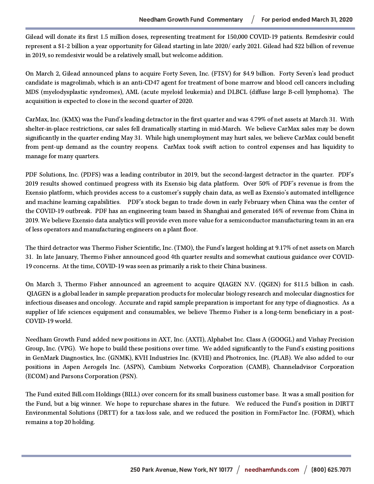Gilead will donate its first 1.5 million doses, representing treatment for 150,000 COVID-19 patients. Remdesivir could represent a \$1-2 billion a year opportunity for Gilead starting in late 2020/ early 2021. Gilead had \$22 billion of revenue in 2019, so remdesivir would be a relatively small, but welcome addition.

On March 2, Gilead announced plans to acquire Forty Seven, Inc. (FTSV) for \$4.9 billion. Forty Seven's lead product candidate is magrolimab, which is an anti-CD47 agent for treatment of bone marrow and blood cell cancers including MDS (myelodysplastic syndromes), AML (acute myeloid leukemia) and DLBCL (diffuse large B-cell lymphoma). The acquisition is expected to close in the second quarter of 2020.

CarMax, Inc. (KMX) was the Fund's leading detractor in the first quarter and was 4.79% of net assets at March 31. With shelter-in-place restrictions, car sales fell dramatically starting in mid-March. We believe CarMax sales may be down significantly in the quarter ending May 31. While high unemployment may hurt sales, we believe CarMax could benefit from pent-up demand as the country reopens. CarMax took swift action to control expenses and has liquidity to manage for many quarters.

PDF Solutions, Inc. (PDFS) was a leading contributor in 2019, but the second-largest detractor in the quarter. PDF's 2019 results showed continued progress with its Exensio big data platform. Over 50% of PDF's revenue is from the Exensio platform, which provides access to a customer's supply chain data, as well as Exensio's automated intelligence and machine learning capabilities. PDF's stock began to trade down in early February when China was the center of the COVID-19 outbreak. PDF has an engineering team based in Shanghai and generated 16% of revenue from China in 2019. We believe Exensio data analytics will provide even more value for a semiconductor manufacturing team in an era of less operators and manufacturing engineers on a plant floor.

The third detractor was Thermo Fisher Scientific, Inc. (TMO), the Fund's largest holding at 9.17% of net assets on March 31. In late January, Thermo Fisher announced good 4th quarter results and somewhat cautious guidance over COVID-19 concerns. At the time, COVID-19 was seen as primarily a risk to their China business.

On March 3, Thermo Fisher announced an agreement to acquire QIAGEN N.V. (QGEN) for \$11.5 billion in cash. QIAGEN is a global leader in sample preparation products for molecular biology research and molecular diagnostics for infectious diseases and oncology. Accurate and rapid sample preparation is important for any type of diagnostics. As a supplier of life sciences equipment and consumables, we believe Thermo Fisher is a long-term beneficiary in a post-COVID-19 world.

Needham Growth Fund added new positions in AXT, Inc. (AXTI), Alphabet Inc. Class A (GOOGL) and Vishay Precision Group, Inc. (VPG). We hope to build these positions over time. We added significantly to the Fund's existing positions in GenMark Diagnostics, Inc. (GNMK), KVH Industries Inc. (KVHI) and Photronics, Inc. (PLAB). We also added to our positions in Aspen Aerogels Inc. (ASPN), Cambium Networks Corporation (CAMB), Channeladvisor Corporation (ECOM) and Parsons Corporation (PSN).

The Fund exited Bill.com Holdings (BILL) over concern for its small business customer base. It was a small position for the Fund, but a big winner. We hope to repurchase shares in the future. We reduced the Fund's position in DIRTT Environmental Solutions (DRTT) for a tax-loss sale, and we reduced the position in FormFactor Inc. (FORM), which remains a top 20 holding.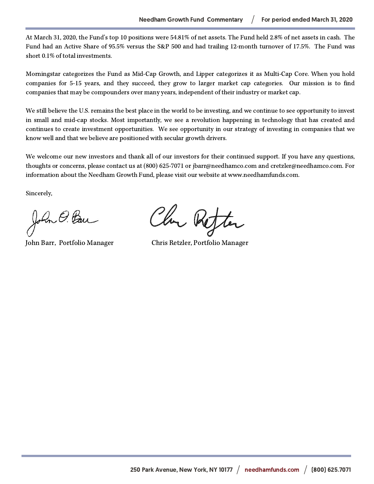At March 31, 2020, the Fund's top 10 positions were 54.81% of net assets. The Fund held 2.8% of net assets in cash. The Fund had an Active Share of 95.5% versus the S&P 500 and had trailing 12-month turnover of 17.5%. The Fund was short 0.1% of total investments.

Morningstar categorizes the Fund as Mid-Cap Growth, and Lipper categorizes it as Multi-Cap Core. When you hold companies for 5-15 years, and they succeed, they grow to larger market cap categories. Our mission is to find companies that may be compounders over many years, independent of their industry or market cap.

We still believe the U.S. remains the best place in the world to be investing, and we continue to see opportunity to invest in small and mid-cap stocks. Most importantly, we see a revolution happening in technology that has created and continues to create investment opportunities. We see opportunity in our strategy of investing in companies that we know well and that we believe are positioned with secular growth drivers.

We welcome our new investors and thank all of our investors for their continued support. If you have any questions, thoughts or concerns, please contact us at (800) 625-7071 or jbarr@needhamco.com and cretzler@needhamco.com. For information about the Needham Growth Fund, please visit our website at www.needhamfunds.com.

Sincerely,

John O. Ban

Chr Refter

John Barr, Portfolio Manager Chris Retzler, Portfolio Manager